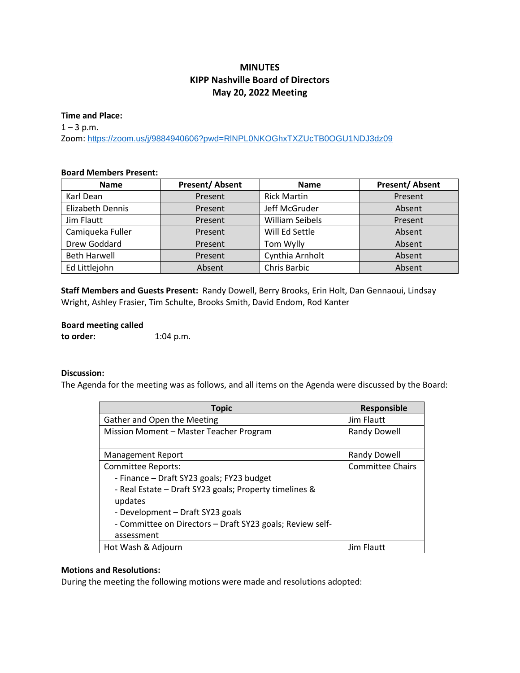# **MINUTES KIPP Nashville Board of Directors May 20, 2022 Meeting**

#### **Time and Place:**

 $1 - 3$  p.m. Zoom: <https://zoom.us/j/9884940606?pwd=RlNPL0NKOGhxTXZUcTB0OGU1NDJ3dz09>

### **Board Members Present:**

| <b>Name</b>             | <b>Present/Absent</b> | <b>Name</b>            | <b>Present/Absent</b> |
|-------------------------|-----------------------|------------------------|-----------------------|
| Karl Dean               | Present               | <b>Rick Martin</b>     | Present               |
| <b>Elizabeth Dennis</b> | Present               | Jeff McGruder          | Absent                |
| Jim Flautt              | Present               | <b>William Seibels</b> | Present               |
| Camiqueka Fuller        | Present               | Will Ed Settle         | Absent                |
| Drew Goddard            | Present               | Tom Wylly              | Absent                |
| <b>Beth Harwell</b>     | Present               | Cynthia Arnholt        | Absent                |
| Ed Littlejohn           | Absent                | Chris Barbic           | Absent                |

**Staff Members and Guests Present:** Randy Dowell, Berry Brooks, Erin Holt, Dan Gennaoui, Lindsay Wright, Ashley Frasier, Tim Schulte, Brooks Smith, David Endom, Rod Kanter

# **Board meeting called**

**to order:** 1:04 p.m.

### **Discussion:**

The Agenda for the meeting was as follows, and all items on the Agenda were discussed by the Board:

| <b>Topic</b>                                              | Responsible             |
|-----------------------------------------------------------|-------------------------|
| Gather and Open the Meeting                               | Jim Flautt              |
| Mission Moment - Master Teacher Program                   | <b>Randy Dowell</b>     |
| Management Report                                         | <b>Randy Dowell</b>     |
| <b>Committee Reports:</b>                                 | <b>Committee Chairs</b> |
| - Finance - Draft SY23 goals; FY23 budget                 |                         |
| - Real Estate - Draft SY23 goals; Property timelines &    |                         |
| updates                                                   |                         |
| - Development - Draft SY23 goals                          |                         |
| - Committee on Directors - Draft SY23 goals; Review self- |                         |
| assessment                                                |                         |
| Hot Wash & Adjourn                                        | Jim Flautt              |

### **Motions and Resolutions:**

During the meeting the following motions were made and resolutions adopted: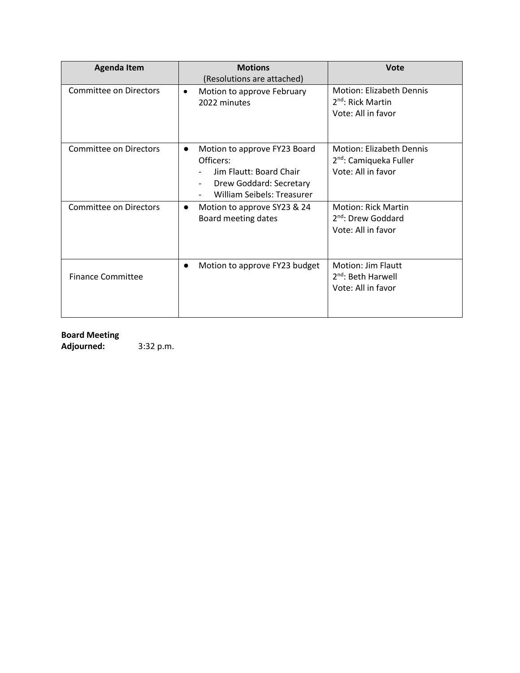| <b>Agenda Item</b>       | <b>Motions</b><br>(Resolutions are attached)                                                                                               | Vote                                                                                        |
|--------------------------|--------------------------------------------------------------------------------------------------------------------------------------------|---------------------------------------------------------------------------------------------|
| Committee on Directors   | Motion to approve February<br>$\bullet$<br>2022 minutes                                                                                    | <b>Motion: Elizabeth Dennis</b><br>$2nd$ : Rick Martin<br>Vote: All in favor                |
| Committee on Directors   | Motion to approve FY23 Board<br>$\bullet$<br>Officers:<br>Jim Flautt: Board Chair<br>Drew Goddard: Secretary<br>William Seibels: Treasurer | <b>Motion: Elizabeth Dennis</b><br>2 <sup>nd</sup> : Camiqueka Fuller<br>Vote: All in favor |
| Committee on Directors   | Motion to approve SY23 & 24<br>$\bullet$<br>Board meeting dates                                                                            | <b>Motion: Rick Martin</b><br>2 <sup>nd</sup> : Drew Goddard<br>Vote: All in favor          |
| <b>Finance Committee</b> | Motion to approve FY23 budget<br>$\bullet$                                                                                                 | Motion: Jim Flautt<br>$2nd$ : Beth Harwell<br>Vote: All in favor                            |

# **Board Meeting**

**Adjourned:** 3:32 p.m.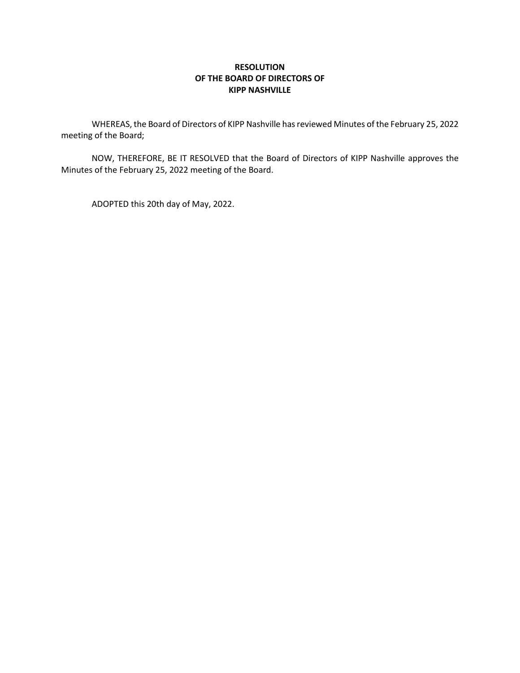# **RESOLUTION OF THE BOARD OF DIRECTORS OF KIPP NASHVILLE**

WHEREAS, the Board of Directors of KIPP Nashville has reviewed Minutes of the February 25, 2022 meeting of the Board;

NOW, THEREFORE, BE IT RESOLVED that the Board of Directors of KIPP Nashville approves the Minutes of the February 25, 2022 meeting of the Board.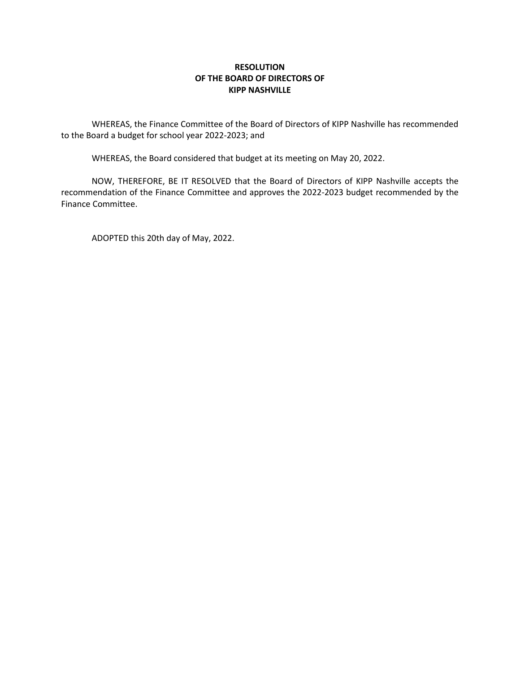## **RESOLUTION OF THE BOARD OF DIRECTORS OF KIPP NASHVILLE**

WHEREAS, the Finance Committee of the Board of Directors of KIPP Nashville has recommended to the Board a budget for school year 2022-2023; and

WHEREAS, the Board considered that budget at its meeting on May 20, 2022.

NOW, THEREFORE, BE IT RESOLVED that the Board of Directors of KIPP Nashville accepts the recommendation of the Finance Committee and approves the 2022-2023 budget recommended by the Finance Committee.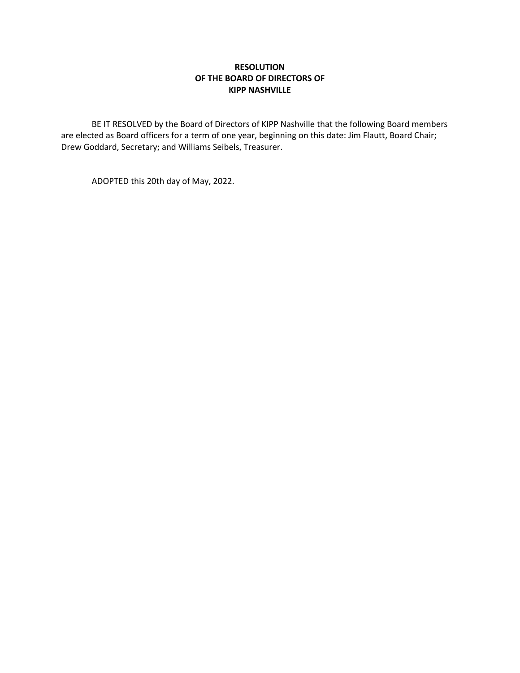# **RESOLUTION OF THE BOARD OF DIRECTORS OF KIPP NASHVILLE**

BE IT RESOLVED by the Board of Directors of KIPP Nashville that the following Board members are elected as Board officers for a term of one year, beginning on this date: Jim Flautt, Board Chair; Drew Goddard, Secretary; and Williams Seibels, Treasurer.